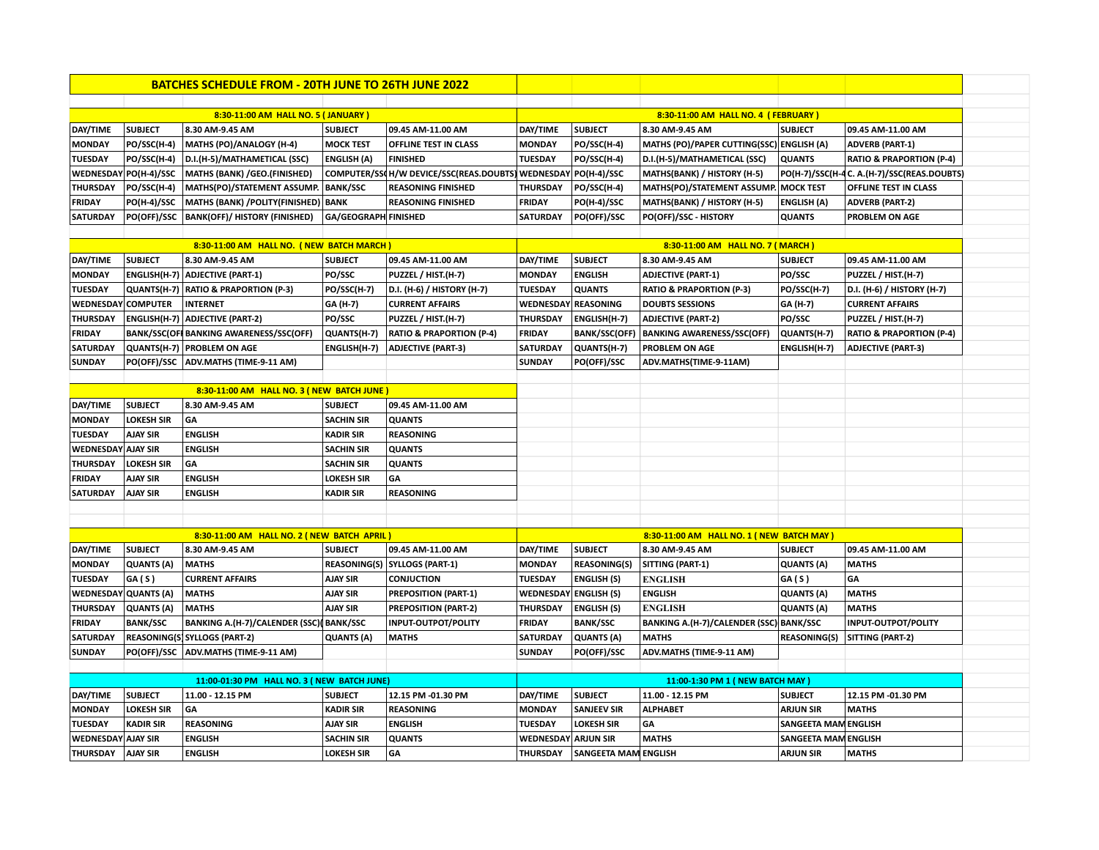|                             |                                      | <b>BATCHES SCHEDULE FROM - 20TH JUNE TO 26TH JUNE 2022</b>    |                      |                                                               |                                  |                                             |                                           |                                     |                                             |  |  |
|-----------------------------|--------------------------------------|---------------------------------------------------------------|----------------------|---------------------------------------------------------------|----------------------------------|---------------------------------------------|-------------------------------------------|-------------------------------------|---------------------------------------------|--|--|
|                             |                                      |                                                               |                      |                                                               |                                  |                                             |                                           |                                     |                                             |  |  |
|                             |                                      | 8:30-11:00 AM HALL NO. 5 (JANUARY)                            |                      |                                                               |                                  |                                             | 8:30-11:00 AM HALL NO. 4 (FEBRUARY)       |                                     |                                             |  |  |
| DAY/TIME                    | <b>SUBJECT</b>                       | 8.30 AM-9.45 AM                                               | <b>SUBJECT</b>       | 09.45 AM-11.00 AM                                             | DAY/TIME                         | <b>SUBJECT</b>                              | 8.30 AM-9.45 AM                           | <b>SUBJECT</b>                      | 09.45 AM-11.00 AM                           |  |  |
| <b>MONDAY</b>               | PO/SSC(H-4)                          | MATHS (PO)/ANALOGY (H-4)                                      | <b>MOCK TEST</b>     | OFFLINE TEST IN CLASS                                         | <b>MONDAY</b>                    | PO/SSC(H-4)                                 | MATHS (PO)/PAPER CUTTING(SSC) ENGLISH (A) |                                     | <b>ADVERB (PART-1)</b>                      |  |  |
| <b>TUESDAY</b>              | PO/SSC(H-4)                          | D.I.(H-5)/MATHAMETICAL (SSC)                                  | <b>ENGLISH (A)</b>   | <b>FINISHED</b>                                               | <b>TUESDAY</b>                   | PO/SSC(H-4)                                 | D.I.(H-5)/MATHAMETICAL (SSC)              | <b>QUANTS</b>                       | <b>RATIO &amp; PRAPORTION (P-4)</b>         |  |  |
|                             | WEDNESDAY PO(H-4)/SSC                | MATHS (BANK) / GEO. (FINISHED)                                |                      | COMPUTER/SS(H/W DEVICE/SSC(REAS.DOUBTS) WEDNESDAY PO(H-4)/SSC |                                  |                                             | MATHS(BANK) / HISTORY (H-5)               |                                     | PO(H-7)/SSC(H-4 C. A.(H-7)/SSC(REAS.DOUBTS) |  |  |
| <b>THURSDAY</b>             | PO/SSC(H-4)                          | MATHS(PO)/STATEMENT ASSUMP.                                   | <b>BANK/SSC</b>      | <b>REASONING FINISHED</b>                                     | THURSDAY                         | PO/SSC(H-4)                                 | MATHS(PO)/STATEMENT ASSUMP. MOCK TEST     |                                     | OFFLINE TEST IN CLASS                       |  |  |
| <b>FRIDAY</b>               | PO(H-4)/SSC                          | MATHS (BANK) /POLITY(FINISHED) BANK                           |                      | <b>REASONING FINISHED</b>                                     | <b>FRIDAY</b>                    | PO(H-4)/SSC                                 | MATHS(BANK) / HISTORY (H-5)               | <b>ENGLISH (A)</b>                  | <b>ADVERB (PART-2)</b>                      |  |  |
| SATURDAY                    | <b>PO(OFF)/SSC</b>                   | <b>BANK(OFF)/ HISTORY (FINISHED)</b>                          | GA/GEOGRAPH FINISHED |                                                               | <b>SATURDAY</b>                  | PO(OFF)/SSC                                 | PO(OFF)/SSC - HISTORY                     | <b>QUANTS</b>                       | PROBLEM ON AGE                              |  |  |
|                             |                                      |                                                               |                      |                                                               |                                  |                                             |                                           |                                     |                                             |  |  |
|                             |                                      | 8:30-11:00 AM HALL NO. (NEW BATCH MARCH)                      |                      |                                                               | 8:30-11:00 AM HALL NO. 7 (MARCH) |                                             |                                           |                                     |                                             |  |  |
| DAY/TIME                    | <b>SUBJECT</b>                       | 8.30 AM-9.45 AM                                               | <b>SUBJECT</b>       | 09.45 AM-11.00 AM                                             | DAY/TIME                         | <b>SUBJECT</b>                              | 8.30 AM-9.45 AM                           | <b>SUBJECT</b>                      | 09.45 AM-11.00 AM                           |  |  |
| <b>MONDAY</b>               |                                      | ENGLISH(H-7)   ADJECTIVE (PART-1)                             | PO/SSC               | PUZZEL / HIST.(H-7)                                           | <b>MONDAY</b>                    | <b>ENGLISH</b>                              | <b>ADJECTIVE (PART-1)</b>                 | PO/SSC                              | PUZZEL / HIST.(H-7)                         |  |  |
| <b>TUESDAY</b>              |                                      | QUANTS(H-7) RATIO & PRAPORTION (P-3)                          | PO/SSC(H-7)          | D.I. (H-6) / HISTORY (H-7)                                    | <b>TUESDAY</b>                   | <b>QUANTS</b>                               | <b>RATIO &amp; PRAPORTION (P-3)</b>       | PO/SSC(H-7)                         | D.I. (H-6) / HISTORY (H-7)                  |  |  |
| <b>WEDNESDAY COMPUTER</b>   |                                      | <b>INTERNET</b>                                               | GA (H-7)             | <b>CURRENT AFFAIRS</b>                                        |                                  | WEDNESDAY REASONING                         | <b>DOUBTS SESSIONS</b>                    | GA (H-7)                            | <b>CURRENT AFFAIRS</b>                      |  |  |
| <b>THURSDAY</b>             |                                      | ENGLISH(H-7) ADJECTIVE (PART-2)                               | PO/SSC               | PUZZEL / HIST.(H-7)                                           | <b>THURSDAY</b>                  | ENGLISH(H-7)                                | <b>ADJECTIVE (PART-2)</b>                 | PO/SSC                              | PUZZEL / HIST.(H-7)                         |  |  |
| <b>FRIDAY</b>               |                                      | BANK/SSC(OFF BANKING AWARENESS/SSC(OFF)                       | QUANTS(H-7)          | <b>RATIO &amp; PRAPORTION (P-4)</b>                           | <b>FRIDAY</b>                    | <b>BANK/SSC(OFF)</b>                        | <b>BANKING AWARENESS/SSC(OFF)</b>         | QUANTS(H-7)                         | <b>RATIO &amp; PRAPORTION (P-4)</b>         |  |  |
| SATURDAY                    |                                      | QUANTS(H-7) PROBLEM ON AGE                                    | ENGLISH(H-7)         | <b>ADJECTIVE (PART-3)</b>                                     | SATURDAY                         | QUANTS(H-7)                                 | PROBLEM ON AGE                            | ENGLISH(H-7)                        | <b>ADJECTIVE (PART-3)</b>                   |  |  |
| <b>SUNDAY</b>               |                                      | PO(OFF)/SSC ADV.MATHS (TIME-9-11 AM)                          |                      |                                                               | <b>SUNDAY</b>                    | PO(OFF)/SSC                                 | ADV.MATHS(TIME-9-11AM)                    |                                     |                                             |  |  |
|                             |                                      |                                                               |                      |                                                               |                                  |                                             |                                           |                                     |                                             |  |  |
|                             |                                      | 8:30-11:00 AM HALL NO. 3 (NEW BATCH JUNE)                     |                      |                                                               |                                  |                                             |                                           |                                     |                                             |  |  |
| DAY/TIME                    | <b>SUBJECT</b>                       | 8.30 AM-9.45 AM                                               | <b>SUBJECT</b>       | 09.45 AM-11.00 AM                                             |                                  |                                             |                                           |                                     |                                             |  |  |
| <b>MONDAY</b>               | <b>LOKESH SIR</b>                    | GA                                                            | <b>SACHIN SIR</b>    | <b>QUANTS</b>                                                 |                                  |                                             |                                           |                                     |                                             |  |  |
| <b>TUESDAY</b>              | <b>AJAY SIR</b>                      | <b>ENGLISH</b>                                                | <b>KADIR SIR</b>     | <b>REASONING</b>                                              |                                  |                                             |                                           |                                     |                                             |  |  |
| <b>WEDNESDAY AJAY SIR</b>   |                                      | <b>ENGLISH</b>                                                | <b>SACHIN SIR</b>    | <b>QUANTS</b>                                                 |                                  |                                             |                                           |                                     |                                             |  |  |
| <b>THURSDAY</b>             | <b>LOKESH SIR</b>                    | GA                                                            | <b>SACHIN SIR</b>    | <b>QUANTS</b>                                                 |                                  |                                             |                                           |                                     |                                             |  |  |
| <b>FRIDAY</b>               | <b>AJAY SIR</b>                      | <b>ENGLISH</b>                                                | <b>LOKESH SIR</b>    | GA                                                            |                                  |                                             |                                           |                                     |                                             |  |  |
| <b>SATURDAY</b>             | <b>AJAY SIR</b>                      | <b>ENGLISH</b>                                                | <b>KADIR SIR</b>     | <b>REASONING</b>                                              |                                  |                                             |                                           |                                     |                                             |  |  |
|                             |                                      |                                                               |                      |                                                               |                                  |                                             |                                           |                                     |                                             |  |  |
|                             |                                      |                                                               |                      |                                                               |                                  |                                             |                                           |                                     |                                             |  |  |
|                             | <b>SUBJECT</b>                       | 8:30-11:00 AM HALL NO. 2 (NEW BATCH APRIL)<br>8.30 AM-9.45 AM | <b>SUBJECT</b>       | 09.45 AM-11.00 AM                                             |                                  |                                             | 8:30-11:00 AM HALL NO. 1 (NEW BATCH MAY)  |                                     | 09.45 AM-11.00 AM                           |  |  |
| DAY/TIME<br><b>MONDAY</b>   | <b>QUANTS (A)</b>                    | <b>MATHS</b>                                                  |                      | <b>REASONING(S) SYLLOGS (PART-1)</b>                          | DAY/TIME<br><b>MONDAY</b>        | <b>SUBJECT</b><br><b>REASONING(S)</b>       | 8.30 AM-9.45 AM<br>SITTING (PART-1)       | <b>SUBJECT</b><br><b>QUANTS (A)</b> | <b>MATHS</b>                                |  |  |
| <b>TUESDAY</b>              |                                      | <b>CURRENT AFFAIRS</b>                                        | <b>AJAY SIR</b>      | <b>CONJUCTION</b>                                             | <b>TUESDAY</b>                   |                                             |                                           |                                     | GA                                          |  |  |
| <b>WEDNESDAY QUANTS (A)</b> | GA(S)                                | <b>MATHS</b>                                                  | <b>AJAY SIR</b>      | <b>PREPOSITION (PART-1)</b>                                   |                                  | <b>ENGLISH (S)</b><br>WEDNESDAY ENGLISH (S) | <b>ENGLISH</b><br><b>ENGLISH</b>          | GA(S)<br><b>QUANTS (A)</b>          | <b>MATHS</b>                                |  |  |
| THURSDAY                    |                                      | <b>MATHS</b>                                                  | <b>AJAY SIR</b>      | <b>PREPOSITION (PART-2)</b>                                   | <b>THURSDAY</b>                  | <b>ENGLISH (S)</b>                          | <b>ENGLISH</b>                            |                                     | <b>MATHS</b>                                |  |  |
| <b>FRIDAY</b>               | <b>QUANTS (A)</b><br><b>BANK/SSC</b> | BANKING A.(H-7)/CALENDER (SSC)(BANK/SSC                       |                      | INPUT-OUTPOT/POLITY                                           | <b>FRIDAY</b>                    | <b>BANK/SSC</b>                             | BANKING A.(H-7)/CALENDER (SSC) BANK/SSC   | <b>QUANTS (A)</b>                   | INPUT-OUTPOT/POLITY                         |  |  |
| SATURDAY                    |                                      | <b>REASONING(S) SYLLOGS (PART-2)</b>                          | <b>QUANTS (A)</b>    | <b>MATHS</b>                                                  | SATURDAY                         | <b>QUANTS (A)</b>                           | <b>MATHS</b>                              | <b>REASONING(S)</b>                 | SITTING (PART-2)                            |  |  |
| <b>SUNDAY</b>               | PO(OFF)/SSC                          | ADV.MATHS (TIME-9-11 AM)                                      |                      |                                                               | <b>SUNDAY</b>                    | PO(OFF)/SSC                                 | ADV.MATHS (TIME-9-11 AM)                  |                                     |                                             |  |  |
|                             |                                      |                                                               |                      |                                                               |                                  |                                             |                                           |                                     |                                             |  |  |
|                             |                                      | 11:00-01:30 PM HALL NO. 3 ( NEW BATCH JUNE)                   |                      |                                                               |                                  |                                             | 11:00-1:30 PM 1 (NEW BATCH MAY)           |                                     |                                             |  |  |
| DAY/TIME                    | <b>SUBJECT</b>                       | 11.00 - 12.15 PM                                              | <b>SUBJECT</b>       | 12.15 PM -01.30 PM                                            | DAY/TIME                         | <b>SUBJECT</b>                              | 11.00 - 12.15 PM                          | <b>SUBJECT</b>                      | 12.15 PM -01.30 PM                          |  |  |
| <b>MONDAY</b>               | <b>LOKESH SIR</b>                    | GA                                                            | <b>KADIR SIR</b>     | <b>REASONING</b>                                              | <b>MONDAY</b>                    | <b>SANJEEV SIR</b>                          | <b>ALPHABET</b>                           | <b>ARJUN SIR</b>                    | <b>MATHS</b>                                |  |  |
| <b>TUESDAY</b>              | <b>KADIR SIR</b>                     | <b>REASONING</b>                                              | <b>AJAY SIR</b>      | <b>ENGLISH</b>                                                | <b>TUESDAY</b>                   | <b>LOKESH SIR</b>                           | GA                                        | <b>SANGEETA MAM ENGLISH</b>         |                                             |  |  |
| <b>WEDNESDAY AJAY SIR</b>   |                                      | <b>ENGLISH</b>                                                | <b>SACHIN SIR</b>    | <b>QUANTS</b>                                                 | WEDNESDAY                        | <b>ARJUN SIR</b>                            | <b>MATHS</b>                              | <b>SANGEETA MAM ENGLISH</b>         |                                             |  |  |
| <b>THURSDAY</b>             | <b>AJAY SIR</b>                      | <b>ENGLISH</b>                                                | <b>LOKESH SIR</b>    | GA                                                            | <b>THURSDAY</b>                  | SANGEETA MAM ENGLISH                        |                                           | <b>ARJUN SIR</b>                    | <b>MATHS</b>                                |  |  |
|                             |                                      |                                                               |                      |                                                               |                                  |                                             |                                           |                                     |                                             |  |  |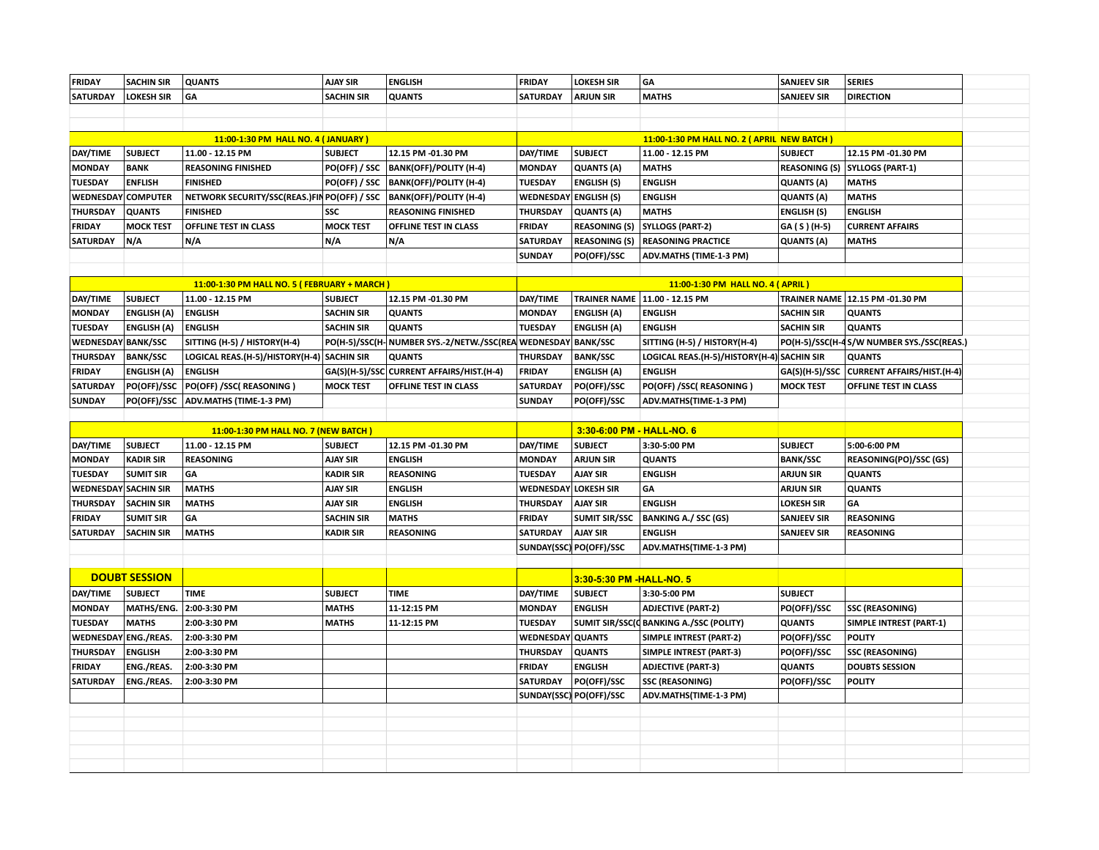| <b>FRIDAY</b>        | <b>SACHIN SIR</b>    | <b>QUANTS</b>                                | AJAY SIR          | <b>ENGLISH</b>                                       | <b>FRIDAY</b>   | <b>LOKESH SIR</b>         | GA                                           | <b>SANJEEV SIR</b>   | <b>SERIES</b>                             |  |
|----------------------|----------------------|----------------------------------------------|-------------------|------------------------------------------------------|-----------------|---------------------------|----------------------------------------------|----------------------|-------------------------------------------|--|
| SATURDAY             | <b>LOKESH SIR</b>    | GA                                           | <b>SACHIN SIR</b> | <b>QUANTS</b>                                        | <b>SATURDAY</b> | <b>ARJUN SIR</b>          | <b>MATHS</b>                                 | <b>SANJEEV SIR</b>   | <b>DIRECTION</b>                          |  |
|                      |                      |                                              |                   |                                                      |                 |                           |                                              |                      |                                           |  |
|                      |                      |                                              |                   |                                                      |                 |                           |                                              |                      |                                           |  |
|                      |                      | 11:00-1:30 PM HALL NO. 4 (JANUARY)           |                   |                                                      |                 |                           | 11:00-1:30 PM HALL NO. 2 ( APRIL NEW BATCH ) |                      |                                           |  |
| DAY/TIME             | <b>SUBJECT</b>       | 11.00 - 12.15 PM                             | <b>SUBJECT</b>    | 12.15 PM -01.30 PM                                   | DAY/TIME        | <b>SUBJECT</b>            | 11.00 - 12.15 PM                             | <b>SUBJECT</b>       | 12.15 PM -01.30 PM                        |  |
| <b>MONDAY</b>        | <b>BANK</b>          | <b>REASONING FINISHED</b>                    | PO(OFF) / SSC     | <b>BANK(OFF)/POLITY (H-4)</b>                        | <b>MONDAY</b>   | <b>QUANTS (A)</b>         | <b>MATHS</b>                                 | <b>REASONING (S)</b> | <b>SYLLOGS (PART-1)</b>                   |  |
| <b>TUESDAY</b>       | <b>ENFLISH</b>       | <b>FINISHED</b>                              | PO(OFF) / SSC     | <b>BANK(OFF)/POLITY (H-4)</b>                        | <b>TUESDAY</b>  | <b>ENGLISH (S)</b>        | <b>ENGLISH</b>                               | <b>QUANTS (A)</b>    | <b>MATHS</b>                              |  |
| WEDNESDAY            | <b>COMPUTER</b>      | NETWORK SECURITY/SSC(REAS.)FIN PO(OFF) / SSC |                   | BANK(OFF)/POLITY (H-4)                               | WEDNESDAY       | <b>ENGLISH (S)</b>        | <b>ENGLISH</b>                               | <b>QUANTS (A)</b>    | <b>MATHS</b>                              |  |
| <b>THURSDAY</b>      | <b>QUANTS</b>        | <b>FINISHED</b>                              | SSC               | <b>REASONING FINISHED</b>                            | <b>THURSDAY</b> | <b>QUANTS (A)</b>         | <b>MATHS</b>                                 | <b>ENGLISH (S)</b>   | <b>ENGLISH</b>                            |  |
| <b>FRIDAY</b>        | <b>MOCK TEST</b>     | OFFLINE TEST IN CLASS                        | <b>MOCK TEST</b>  | OFFLINE TEST IN CLASS                                | <b>FRIDAY</b>   | <b>REASONING (S)</b>      | <b>SYLLOGS (PART-2)</b>                      |                      | <b>CURRENT AFFAIRS</b>                    |  |
| SATURDAY             | N/A                  |                                              | N/A               |                                                      | <b>SATURDAY</b> |                           | <b>REASONING PRACTICE</b>                    | GA ( S ) (H-5)       | <b>MATHS</b>                              |  |
|                      |                      | N/A                                          |                   | N/A                                                  |                 | <b>REASONING (S)</b>      |                                              | <b>QUANTS (A)</b>    |                                           |  |
|                      |                      |                                              |                   |                                                      | <b>SUNDAY</b>   | PO(OFF)/SSC               | ADV.MATHS (TIME-1-3 PM)                      |                      |                                           |  |
|                      |                      |                                              |                   |                                                      |                 |                           |                                              |                      |                                           |  |
|                      |                      | 11:00-1:30 PM HALL NO. 5 (FEBRUARY + MARCH)  |                   |                                                      |                 |                           | 11:00-1:30 PM HALL NO. 4 (APRIL)             |                      |                                           |  |
| DAY/TIME             | <b>SUBJECT</b>       | 11.00 - 12.15 PM                             | <b>SUBJECT</b>    | 12.15 PM -01.30 PM                                   | DAY/TIME        |                           | TRAINER NAME 11.00 - 12.15 PM                |                      | TRAINER NAME 12.15 PM -01.30 PM           |  |
| <b>MONDAY</b>        | <b>ENGLISH (A)</b>   | <b>ENGLISH</b>                               | <b>SACHIN SIR</b> | <b>QUANTS</b>                                        | <b>MONDAY</b>   | <b>ENGLISH (A)</b>        | <b>ENGLISH</b>                               | <b>SACHIN SIR</b>    | <b>QUANTS</b>                             |  |
| <b>TUESDAY</b>       | <b>ENGLISH (A)</b>   | <b>ENGLISH</b>                               | <b>SACHIN SIR</b> | <b>QUANTS</b>                                        | <b>TUESDAY</b>  | <b>ENGLISH (A)</b>        | <b>ENGLISH</b>                               | <b>SACHIN SIR</b>    | <b>QUANTS</b>                             |  |
| WEDNESDAY BANK/SSC   |                      | SITTING (H-5) / HISTORY(H-4)                 |                   | PO(H-5)/SSC(H- NUMBER SYS.-2/NETW./SSC(REA WEDNESDAY |                 | <b>BANK/SSC</b>           | SITTING (H-5) / HISTORY(H-4)                 |                      | PO(H-5)/SSC(H-4S/W NUMBER SYS./SSC(REAS.) |  |
| <b>THURSDAY</b>      | <b>BANK/SSC</b>      | LOGICAL REAS.(H-5)/HISTORY(H-4) SACHIN SIR   |                   | <b>QUANTS</b>                                        | <b>THURSDAY</b> | <b>BANK/SSC</b>           | LOGICAL REAS.(H-5)/HISTORY(H-4) SACHIN SIR   |                      | <b>QUANTS</b>                             |  |
| <b>FRIDAY</b>        | <b>ENGLISH (A)</b>   | <b>ENGLISH</b>                               |                   | GA(S)(H-5)/SSC CURRENT AFFAIRS/HIST.(H-4)            | <b>FRIDAY</b>   | <b>ENGLISH (A)</b>        | <b>ENGLISH</b>                               | GA(S)(H-5)/SSC       | CURRENT AFFAIRS/HIST.(H-4)                |  |
| <b>SATURDAY</b>      | PO(OFF)/SSC          | <b>PO(OFF) /SSC( REASONING )</b>             | <b>MOCK TEST</b>  | OFFLINE TEST IN CLASS                                | <b>SATURDAY</b> | PO(OFF)/SSC               | PO(OFF) /SSC(REASONING)                      | <b>MOCK TEST</b>     | OFFLINE TEST IN CLASS                     |  |
| <b>SUNDAY</b>        | <b>PO(OFF)/SSC</b>   | ADV.MATHS (TIME-1-3 PM)                      |                   |                                                      | <b>SUNDAY</b>   | PO(OFF)/SSC               | ADV.MATHS(TIME-1-3 PM)                       |                      |                                           |  |
|                      |                      |                                              |                   |                                                      |                 |                           |                                              |                      |                                           |  |
|                      |                      | 11:00-1:30 PM HALL NO. 7 (NEW BATCH)         |                   |                                                      |                 | 3:30-6:00 PM - HALL-NO. 6 |                                              |                      |                                           |  |
| DAY/TIME             | <b>SUBJECT</b>       | 11.00 - 12.15 PM                             | <b>SUBJECT</b>    | 12.15 PM -01.30 PM                                   | DAY/TIME        | <b>SUBJECT</b>            | 3:30-5:00 PM                                 | <b>SUBJECT</b>       | 5:00-6:00 PM                              |  |
| <b>MONDAY</b>        | <b>KADIR SIR</b>     | <b>REASONING</b>                             | <b>AJAY SIR</b>   | <b>ENGLISH</b>                                       | <b>MONDAY</b>   | <b>ARJUN SIR</b>          | <b>QUANTS</b>                                | <b>BANK/SSC</b>      | REASONING(PO)/SSC (GS)                    |  |
| <b>TUESDAY</b>       | <b>SUMIT SIR</b>     | GA                                           | <b>KADIR SIR</b>  | <b>REASONING</b>                                     | <b>TUESDAY</b>  | <b>AJAY SIR</b>           | <b>ENGLISH</b>                               | <b>ARJUN SIR</b>     | <b>QUANTS</b>                             |  |
| WEDNESDAY SACHIN SIR |                      | <b>MATHS</b>                                 | <b>AJAY SIR</b>   | <b>ENGLISH</b>                                       | WEDNESDAY       | <b>LOKESH SIR</b>         | GA                                           | <b>ARJUN SIR</b>     | <b>QUANTS</b>                             |  |
| <b>THURSDAY</b>      | <b>SACHIN SIR</b>    | <b>MATHS</b>                                 | <b>AJAY SIR</b>   | <b>ENGLISH</b>                                       | <b>THURSDAY</b> | <b>AJAY SIR</b>           | <b>ENGLISH</b>                               | <b>LOKESH SIR</b>    | GA                                        |  |
| <b>FRIDAY</b>        | <b>SUMIT SIR</b>     | GA                                           | <b>SACHIN SIR</b> | <b>MATHS</b>                                         | <b>FRIDAY</b>   | <b>SUMIT SIR/SSC</b>      | <b>BANKING A./ SSC (GS)</b>                  | <b>SANJEEV SIR</b>   | <b>REASONING</b>                          |  |
| SATURDAY             | <b>SACHIN SIR</b>    | <b>MATHS</b>                                 | <b>KADIR SIR</b>  | <b>REASONING</b>                                     | <b>SATURDAY</b> | <b>AJAY SIR</b>           | <b>ENGLISH</b>                               | <b>SANJEEV SIR</b>   | <b>REASONING</b>                          |  |
|                      |                      |                                              |                   |                                                      |                 | SUNDAY(SSC) PO(OFF)/SSC   | ADV.MATHS(TIME-1-3 PM)                       |                      |                                           |  |
|                      |                      |                                              |                   |                                                      |                 |                           |                                              |                      |                                           |  |
|                      |                      |                                              |                   |                                                      |                 |                           |                                              |                      |                                           |  |
|                      | <b>DOUBT SESSION</b> |                                              |                   |                                                      |                 | 3:30-5:30 PM -HALL-NO. 5  |                                              |                      |                                           |  |
| DAY/TIME             | <b>SUBJECT</b>       | <b>TIME</b>                                  | <b>SUBJECT</b>    | <b>TIME</b>                                          | DAY/TIME        | <b>SUBJECT</b>            | 3:30-5:00 PM                                 | <b>SUBJECT</b>       |                                           |  |
| <b>MONDAY</b>        | MATHS/ENG.           | 2:00-3:30 PM                                 | <b>MATHS</b>      | 11-12:15 PM                                          | <b>MONDAY</b>   | <b>ENGLISH</b>            | <b>ADJECTIVE (PART-2)</b>                    | PO(OFF)/SSC          | <b>SSC (REASONING)</b>                    |  |
| <b>TUESDAY</b>       | <b>MATHS</b>         | 2:00-3:30 PM                                 | <b>MATHS</b>      | 11-12:15 PM                                          | <b>TUESDAY</b>  |                           | SUMIT SIR/SSC(C BANKING A./SSC (POLITY)      | <b>QUANTS</b>        | SIMPLE INTREST (PART-1)                   |  |
| WEDNESDAY            | ENG./REAS.           | 2:00-3:30 PM                                 |                   |                                                      | WEDNESDAY       | <b>QUANTS</b>             | SIMPLE INTREST (PART-2)                      | PO(OFF)/SSC          | <b>POLITY</b>                             |  |
| <b>THURSDAY</b>      | <b>ENGLISH</b>       | 2:00-3:30 PM                                 |                   |                                                      | <b>THURSDAY</b> | <b>QUANTS</b>             | <b>SIMPLE INTREST (PART-3)</b>               | PO(OFF)/SSC          | <b>SSC (REASONING)</b>                    |  |
| <b>FRIDAY</b>        | ENG./REAS.           | 2:00-3:30 PM                                 |                   |                                                      | <b>FRIDAY</b>   | <b>ENGLISH</b>            | <b>ADJECTIVE (PART-3)</b>                    | <b>QUANTS</b>        | <b>DOUBTS SESSION</b>                     |  |
| SATURDAY             | ENG./REAS.           | 2:00-3:30 PM                                 |                   |                                                      | <b>SATURDAY</b> | PO(OFF)/SSC               | <b>SSC (REASONING)</b>                       | PO(OFF)/SSC          | <b>POLITY</b>                             |  |
|                      |                      |                                              |                   |                                                      |                 | SUNDAY(SSC) PO(OFF)/SSC   | ADV.MATHS(TIME-1-3 PM)                       |                      |                                           |  |
|                      |                      |                                              |                   |                                                      |                 |                           |                                              |                      |                                           |  |
|                      |                      |                                              |                   |                                                      |                 |                           |                                              |                      |                                           |  |
|                      |                      |                                              |                   |                                                      |                 |                           |                                              |                      |                                           |  |
|                      |                      |                                              |                   |                                                      |                 |                           |                                              |                      |                                           |  |
|                      |                      |                                              |                   |                                                      |                 |                           |                                              |                      |                                           |  |
|                      |                      |                                              |                   |                                                      |                 |                           |                                              |                      |                                           |  |